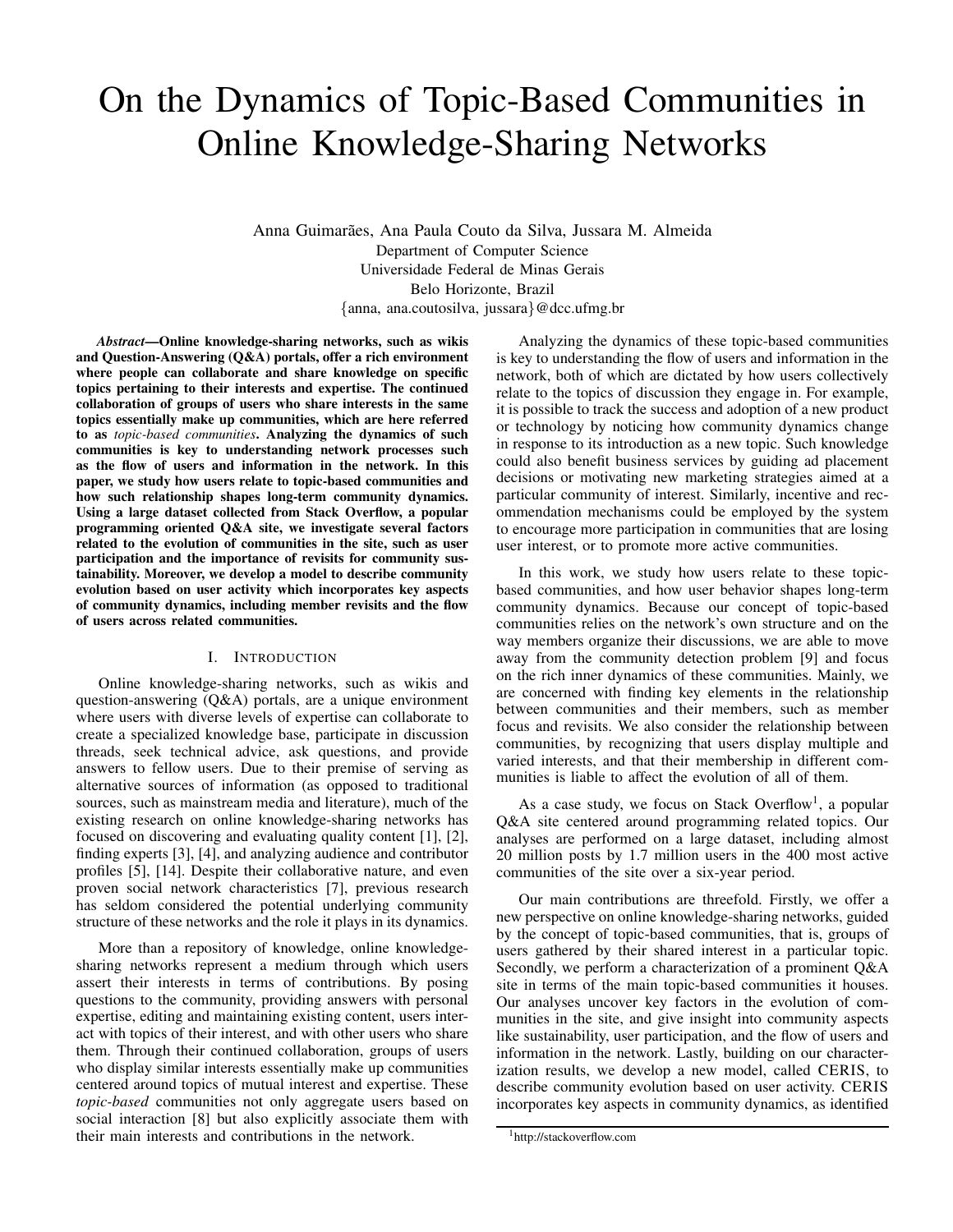# On the Dynamics of Topic-Based Communities in Online Knowledge-Sharing Networks

Anna Guimarães, Ana Paula Couto da Silva, Jussara M. Almeida Department of Computer Science Universidade Federal de Minas Gerais Belo Horizonte, Brazil {anna, ana.coutosilva, jussara}@dcc.ufmg.br

*Abstract*—Online knowledge-sharing networks, such as wikis and Question-Answering  $(Q&A)$  portals, offer a rich environment where people can collaborate and share knowledge on specific topics pertaining to their interests and expertise. The continued collaboration of groups of users who share interests in the same topics essentially make up communities, which are here referred to as *topic-based communities*. Analyzing the dynamics of such communities is key to understanding network processes such as the flow of users and information in the network. In this paper, we study how users relate to topic-based communities and how such relationship shapes long-term community dynamics. Using a large dataset collected from Stack Overflow, a popular programming oriented Q&A site, we investigate several factors related to the evolution of communities in the site, such as user participation and the importance of revisits for community sustainability. Moreover, we develop a model to describe community evolution based on user activity which incorporates key aspects of community dynamics, including member revisits and the flow of users across related communities.

#### I. INTRODUCTION

Online knowledge-sharing networks, such as wikis and question-answering (Q&A) portals, are a unique environment where users with diverse levels of expertise can collaborate to create a specialized knowledge base, participate in discussion threads, seek technical advice, ask questions, and provide answers to fellow users. Due to their premise of serving as alternative sources of information (as opposed to traditional sources, such as mainstream media and literature), much of the existing research on online knowledge-sharing networks has focused on discovering and evaluating quality content [1], [2], finding experts [3], [4], and analyzing audience and contributor profiles [5], [14]. Despite their collaborative nature, and even proven social network characteristics [7], previous research has seldom considered the potential underlying community structure of these networks and the role it plays in its dynamics.

More than a repository of knowledge, online knowledgesharing networks represent a medium through which users assert their interests in terms of contributions. By posing questions to the community, providing answers with personal expertise, editing and maintaining existing content, users interact with topics of their interest, and with other users who share them. Through their continued collaboration, groups of users who display similar interests essentially make up communities centered around topics of mutual interest and expertise. These *topic-based* communities not only aggregate users based on social interaction [8] but also explicitly associate them with their main interests and contributions in the network.

Analyzing the dynamics of these topic-based communities is key to understanding the flow of users and information in the network, both of which are dictated by how users collectively relate to the topics of discussion they engage in. For example, it is possible to track the success and adoption of a new product or technology by noticing how community dynamics change in response to its introduction as a new topic. Such knowledge could also benefit business services by guiding ad placement decisions or motivating new marketing strategies aimed at a particular community of interest. Similarly, incentive and recommendation mechanisms could be employed by the system to encourage more participation in communities that are losing user interest, or to promote more active communities.

In this work, we study how users relate to these topicbased communities, and how user behavior shapes long-term community dynamics. Because our concept of topic-based communities relies on the network's own structure and on the way members organize their discussions, we are able to move away from the community detection problem [9] and focus on the rich inner dynamics of these communities. Mainly, we are concerned with finding key elements in the relationship between communities and their members, such as member focus and revisits. We also consider the relationship between communities, by recognizing that users display multiple and varied interests, and that their membership in different communities is liable to affect the evolution of all of them.

As a case study, we focus on Stack Overflow<sup>1</sup>, a popular Q&A site centered around programming related topics. Our analyses are performed on a large dataset, including almost 20 million posts by 1.7 million users in the 400 most active communities of the site over a six-year period.

Our main contributions are threefold. Firstly, we offer a new perspective on online knowledge-sharing networks, guided by the concept of topic-based communities, that is, groups of users gathered by their shared interest in a particular topic. Secondly, we perform a characterization of a prominent Q&A site in terms of the main topic-based communities it houses. Our analyses uncover key factors in the evolution of communities in the site, and give insight into community aspects like sustainability, user participation, and the flow of users and information in the network. Lastly, building on our characterization results, we develop a new model, called CERIS, to describe community evolution based on user activity. CERIS incorporates key aspects in community dynamics, as identified

<sup>1</sup>http://stackoverflow.com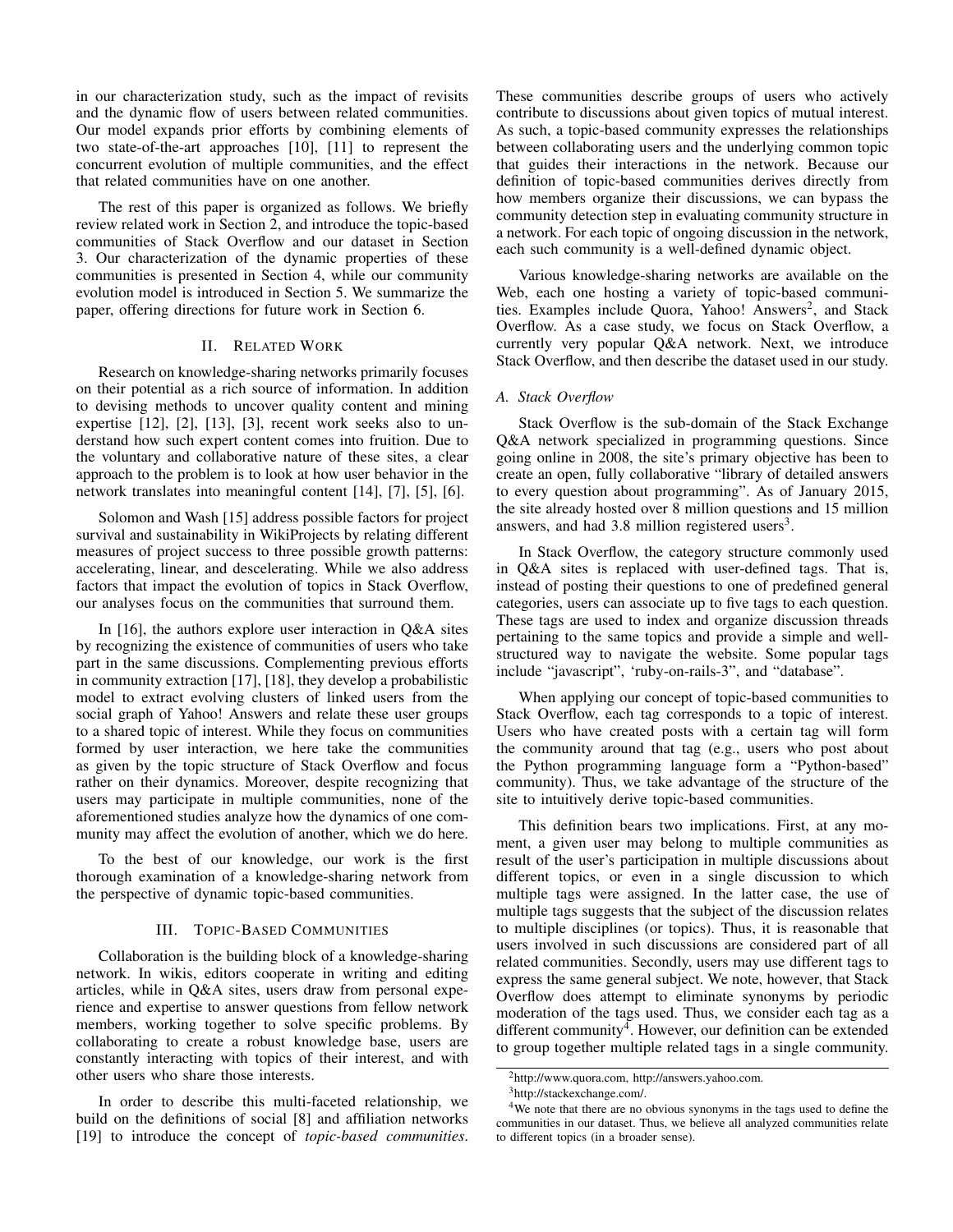in our characterization study, such as the impact of revisits and the dynamic flow of users between related communities. Our model expands prior efforts by combining elements of two state-of-the-art approaches [10], [11] to represent the concurrent evolution of multiple communities, and the effect that related communities have on one another.

The rest of this paper is organized as follows. We briefly review related work in Section 2, and introduce the topic-based communities of Stack Overflow and our dataset in Section 3. Our characterization of the dynamic properties of these communities is presented in Section 4, while our community evolution model is introduced in Section 5. We summarize the paper, offering directions for future work in Section 6.

## II. RELATED WORK

Research on knowledge-sharing networks primarily focuses on their potential as a rich source of information. In addition to devising methods to uncover quality content and mining expertise [12], [2], [13], [3], recent work seeks also to understand how such expert content comes into fruition. Due to the voluntary and collaborative nature of these sites, a clear approach to the problem is to look at how user behavior in the network translates into meaningful content [14], [7], [5], [6].

Solomon and Wash [15] address possible factors for project survival and sustainability in WikiProjects by relating different measures of project success to three possible growth patterns: accelerating, linear, and descelerating. While we also address factors that impact the evolution of topics in Stack Overflow, our analyses focus on the communities that surround them.

In [16], the authors explore user interaction in Q&A sites by recognizing the existence of communities of users who take part in the same discussions. Complementing previous efforts in community extraction [17], [18], they develop a probabilistic model to extract evolving clusters of linked users from the social graph of Yahoo! Answers and relate these user groups to a shared topic of interest. While they focus on communities formed by user interaction, we here take the communities as given by the topic structure of Stack Overflow and focus rather on their dynamics. Moreover, despite recognizing that users may participate in multiple communities, none of the aforementioned studies analyze how the dynamics of one community may affect the evolution of another, which we do here.

To the best of our knowledge, our work is the first thorough examination of a knowledge-sharing network from the perspective of dynamic topic-based communities.

## III. TOPIC-BASED COMMUNITIES

Collaboration is the building block of a knowledge-sharing network. In wikis, editors cooperate in writing and editing articles, while in Q&A sites, users draw from personal experience and expertise to answer questions from fellow network members, working together to solve specific problems. By collaborating to create a robust knowledge base, users are constantly interacting with topics of their interest, and with other users who share those interests.

In order to describe this multi-faceted relationship, we build on the definitions of social [8] and affiliation networks [19] to introduce the concept of *topic-based communities*. These communities describe groups of users who actively contribute to discussions about given topics of mutual interest. As such, a topic-based community expresses the relationships between collaborating users and the underlying common topic that guides their interactions in the network. Because our definition of topic-based communities derives directly from how members organize their discussions, we can bypass the community detection step in evaluating community structure in a network. For each topic of ongoing discussion in the network, each such community is a well-defined dynamic object.

Various knowledge-sharing networks are available on the Web, each one hosting a variety of topic-based communities. Examples include Quora, Yahoo! Answers<sup>2</sup>, and Stack Overflow. As a case study, we focus on Stack Overflow, a currently very popular Q&A network. Next, we introduce Stack Overflow, and then describe the dataset used in our study.

#### *A. Stack Overflow*

Stack Overflow is the sub-domain of the Stack Exchange Q&A network specialized in programming questions. Since going online in 2008, the site's primary objective has been to create an open, fully collaborative "library of detailed answers to every question about programming". As of January 2015, the site already hosted over 8 million questions and 15 million answers, and had  $3.8$  million registered users<sup>3</sup>.

In Stack Overflow, the category structure commonly used in Q&A sites is replaced with user-defined tags. That is, instead of posting their questions to one of predefined general categories, users can associate up to five tags to each question. These tags are used to index and organize discussion threads pertaining to the same topics and provide a simple and wellstructured way to navigate the website. Some popular tags include "javascript", 'ruby-on-rails-3", and "database".

When applying our concept of topic-based communities to Stack Overflow, each tag corresponds to a topic of interest. Users who have created posts with a certain tag will form the community around that tag (e.g., users who post about the Python programming language form a "Python-based" community). Thus, we take advantage of the structure of the site to intuitively derive topic-based communities.

This definition bears two implications. First, at any moment, a given user may belong to multiple communities as result of the user's participation in multiple discussions about different topics, or even in a single discussion to which multiple tags were assigned. In the latter case, the use of multiple tags suggests that the subject of the discussion relates to multiple disciplines (or topics). Thus, it is reasonable that users involved in such discussions are considered part of all related communities. Secondly, users may use different tags to express the same general subject. We note, however, that Stack Overflow does attempt to eliminate synonyms by periodic moderation of the tags used. Thus, we consider each tag as a different community<sup>4</sup>. However, our definition can be extended to group together multiple related tags in a single community.

<sup>2</sup>http://www.quora.com, http://answers.yahoo.com.

<sup>3</sup>http://stackexchange.com/.

<sup>4</sup>We note that there are no obvious synonyms in the tags used to define the communities in our dataset. Thus, we believe all analyzed communities relate to different topics (in a broader sense).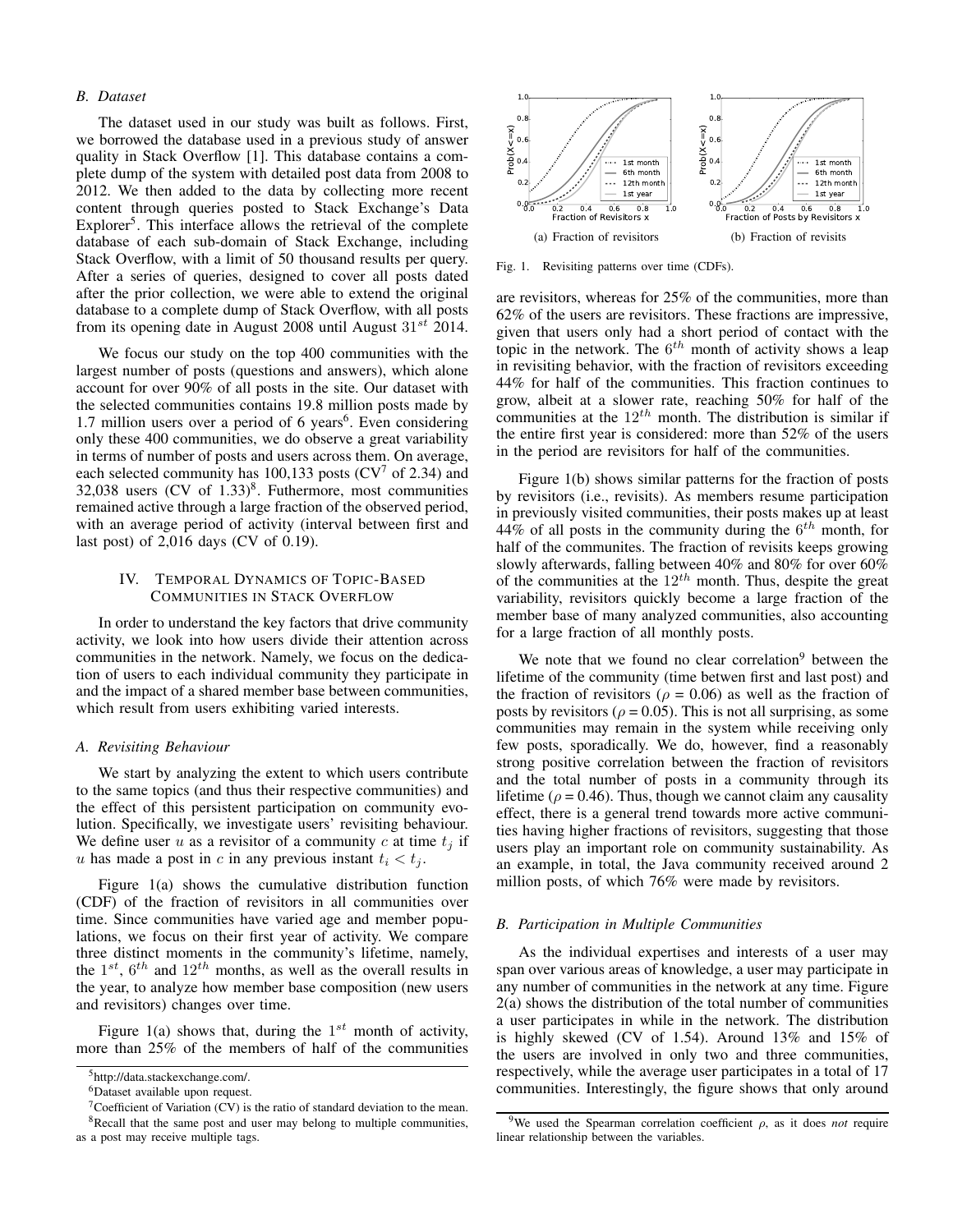# *B. Dataset*

The dataset used in our study was built as follows. First, we borrowed the database used in a previous study of answer quality in Stack Overflow [1]. This database contains a complete dump of the system with detailed post data from 2008 to 2012. We then added to the data by collecting more recent content through queries posted to Stack Exchange's Data Explorer<sup>5</sup>. This interface allows the retrieval of the complete database of each sub-domain of Stack Exchange, including Stack Overflow, with a limit of 50 thousand results per query. After a series of queries, designed to cover all posts dated after the prior collection, we were able to extend the original database to a complete dump of Stack Overflow, with all posts from its opening date in August 2008 until August  $31^{st}$  2014.

We focus our study on the top 400 communities with the largest number of posts (questions and answers), which alone account for over 90% of all posts in the site. Our dataset with the selected communities contains 19.8 million posts made by 1.7 million users over a period of 6 years<sup>6</sup>. Even considering only these 400 communities, we do observe a great variability in terms of number of posts and users across them. On average, each selected community has 100,133 posts ( $CV<sup>7</sup>$  of 2.34) and 32,038 users  $(CV \text{ of } 1.33)^8$ . Futhermore, most communities remained active through a large fraction of the observed period, with an average period of activity (interval between first and last post) of 2,016 days (CV of 0.19).

# IV. TEMPORAL DYNAMICS OF TOPIC-BASED COMMUNITIES IN STACK OVERFLOW

In order to understand the key factors that drive community activity, we look into how users divide their attention across communities in the network. Namely, we focus on the dedication of users to each individual community they participate in and the impact of a shared member base between communities, which result from users exhibiting varied interests.

#### *A. Revisiting Behaviour*

We start by analyzing the extent to which users contribute to the same topics (and thus their respective communities) and the effect of this persistent participation on community evolution. Specifically, we investigate users' revisiting behaviour. We define user u as a revisitor of a community c at time  $t_i$  if u has made a post in c in any previous instant  $t_i < t_j$ .

Figure 1(a) shows the cumulative distribution function (CDF) of the fraction of revisitors in all communities over time. Since communities have varied age and member populations, we focus on their first year of activity. We compare three distinct moments in the community's lifetime, namely, the  $1^{st}$ ,  $6^{th}$  and  $12^{th}$  months, as well as the overall results in the year, to analyze how member base composition (new users and revisitors) changes over time.

Figure 1(a) shows that, during the  $1^{st}$  month of activity, more than 25% of the members of half of the communities



Fig. 1. Revisiting patterns over time (CDFs).

are revisitors, whereas for 25% of the communities, more than 62% of the users are revisitors. These fractions are impressive, given that users only had a short period of contact with the topic in the network. The  $6^{th}$  month of activity shows a leap in revisiting behavior, with the fraction of revisitors exceeding 44% for half of the communities. This fraction continues to grow, albeit at a slower rate, reaching 50% for half of the communities at the  $12^{th}$  month. The distribution is similar if the entire first year is considered: more than 52% of the users in the period are revisitors for half of the communities.

Figure 1(b) shows similar patterns for the fraction of posts by revisitors (i.e., revisits). As members resume participation in previously visited communities, their posts makes up at least 44% of all posts in the community during the  $6^{th}$  month, for half of the communites. The fraction of revisits keeps growing slowly afterwards, falling between 40% and 80% for over 60% of the communities at the  $12^{th}$  month. Thus, despite the great variability, revisitors quickly become a large fraction of the member base of many analyzed communities, also accounting for a large fraction of all monthly posts.

We note that we found no clear correlation $9$  between the lifetime of the community (time betwen first and last post) and the fraction of revisitors ( $\rho = 0.06$ ) as well as the fraction of posts by revisitors ( $\rho = 0.05$ ). This is not all surprising, as some communities may remain in the system while receiving only few posts, sporadically. We do, however, find a reasonably strong positive correlation between the fraction of revisitors and the total number of posts in a community through its lifetime ( $\rho = 0.46$ ). Thus, though we cannot claim any causality effect, there is a general trend towards more active communities having higher fractions of revisitors, suggesting that those users play an important role on community sustainability. As an example, in total, the Java community received around 2 million posts, of which 76% were made by revisitors.

## *B. Participation in Multiple Communities*

As the individual expertises and interests of a user may span over various areas of knowledge, a user may participate in any number of communities in the network at any time. Figure 2(a) shows the distribution of the total number of communities a user participates in while in the network. The distribution is highly skewed (CV of 1.54). Around 13% and 15% of the users are involved in only two and three communities, respectively, while the average user participates in a total of 17 communities. Interestingly, the figure shows that only around

<sup>5</sup>http://data.stackexchange.com/.

<sup>6</sup>Dataset available upon request.

 $7$ Coefficient of Variation (CV) is the ratio of standard deviation to the mean.

<sup>&</sup>lt;sup>8</sup>Recall that the same post and user may belong to multiple communities, as a post may receive multiple tags.

<sup>&</sup>lt;sup>9</sup>We used the Spearman correlation coefficient  $\rho$ , as it does *not* require linear relationship between the variables.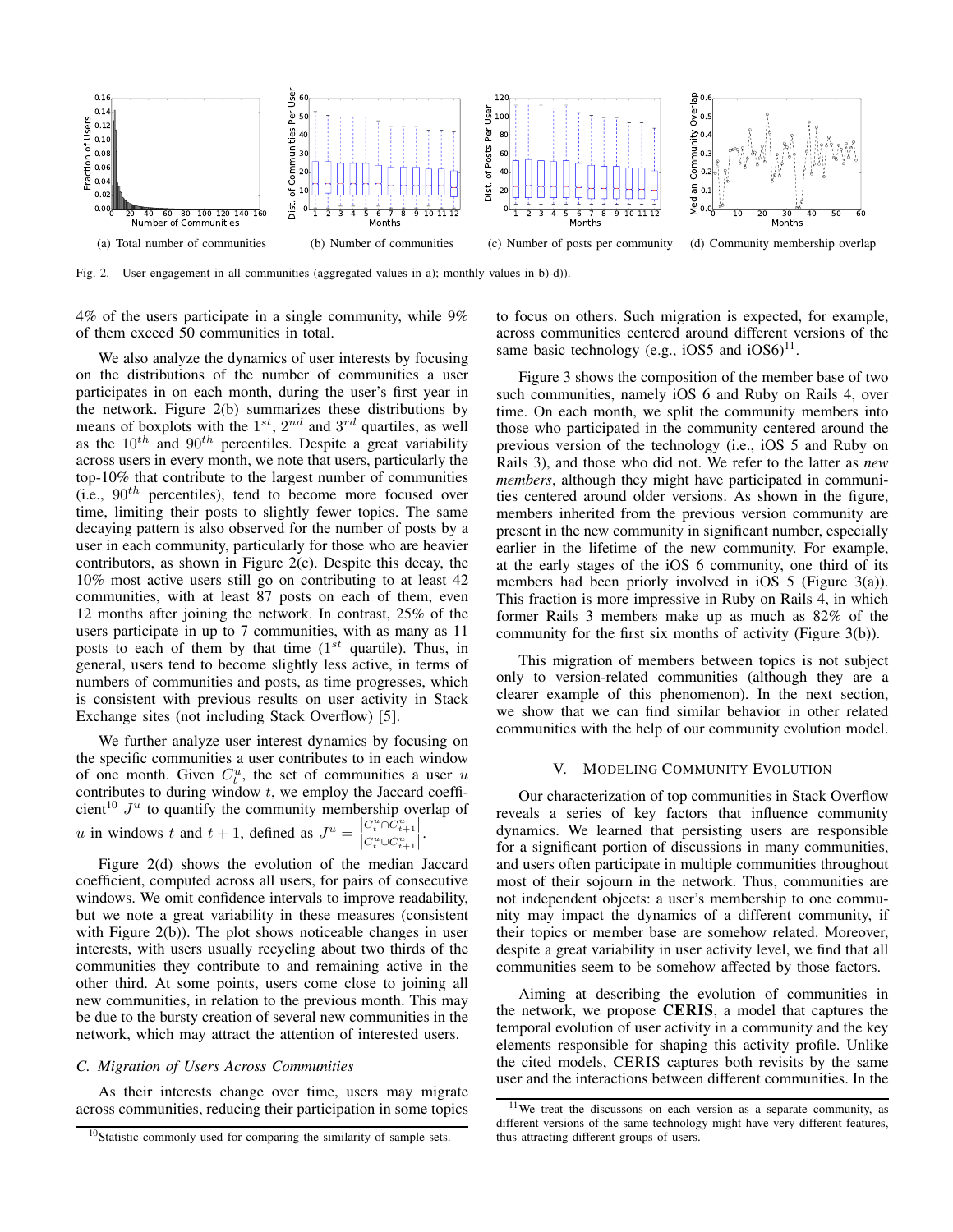

Fig. 2. User engagement in all communities (aggregated values in a); monthly values in b)-d)).

4% of the users participate in a single community, while 9% of them exceed 50 communities in total.

We also analyze the dynamics of user interests by focusing on the distributions of the number of communities a user participates in on each month, during the user's first year in the network. Figure 2(b) summarizes these distributions by means of boxplots with the  $1^{st}$ ,  $2^{nd}$  and  $3^{rd}$  quartiles, as well as the  $10^{th}$  and  $90^{th}$  percentiles. Despite a great variability across users in every month, we note that users, particularly the top-10% that contribute to the largest number of communities (i.e.,  $90<sup>th</sup>$  percentiles), tend to become more focused over time, limiting their posts to slightly fewer topics. The same decaying pattern is also observed for the number of posts by a user in each community, particularly for those who are heavier contributors, as shown in Figure 2(c). Despite this decay, the 10% most active users still go on contributing to at least 42 communities, with at least 87 posts on each of them, even 12 months after joining the network. In contrast, 25% of the users participate in up to 7 communities, with as many as 11 posts to each of them by that time  $(1^{st}$  quartile). Thus, in general, users tend to become slightly less active, in terms of numbers of communities and posts, as time progresses, which is consistent with previous results on user activity in Stack Exchange sites (not including Stack Overflow) [5].

We further analyze user interest dynamics by focusing on the specific communities a user contributes to in each window of one month. Given  $C_t^u$ , the set of communities a user u contributes to during window  $t$ , we employ the Jaccard coefficient<sup>10</sup>  $J^u$  to quantify the community membership overlap of u in windows t and  $t + 1$ , defined as  $J^u = \frac{|C_t^u \cap C_{t+1}^u|}{|C_t^u \cap C_t^u|}$  $\frac{C_t^{u} \cup C_{t+1}^u}{\left|C_t^u \cup C_{t+1}^u\right|}.$ 

Figure 2(d) shows the evolution of the median Jaccard coefficient, computed across all users, for pairs of consecutive windows. We omit confidence intervals to improve readability, but we note a great variability in these measures (consistent with Figure 2(b)). The plot shows noticeable changes in user interests, with users usually recycling about two thirds of the communities they contribute to and remaining active in the other third. At some points, users come close to joining all new communities, in relation to the previous month. This may be due to the bursty creation of several new communities in the network, which may attract the attention of interested users.

# *C. Migration of Users Across Communities*

As their interests change over time, users may migrate across communities, reducing their participation in some topics to focus on others. Such migration is expected, for example, across communities centered around different versions of the same basic technology (e.g.,  $iOS5$  and  $iOS6$ )<sup>11</sup>.

Figure 3 shows the composition of the member base of two such communities, namely iOS 6 and Ruby on Rails 4, over time. On each month, we split the community members into those who participated in the community centered around the previous version of the technology (i.e., iOS 5 and Ruby on Rails 3), and those who did not. We refer to the latter as *new members*, although they might have participated in communities centered around older versions. As shown in the figure, members inherited from the previous version community are present in the new community in significant number, especially earlier in the lifetime of the new community. For example, at the early stages of the iOS 6 community, one third of its members had been priorly involved in iOS 5 (Figure 3(a)). This fraction is more impressive in Ruby on Rails 4, in which former Rails 3 members make up as much as 82% of the community for the first six months of activity (Figure 3(b)).

This migration of members between topics is not subject only to version-related communities (although they are a clearer example of this phenomenon). In the next section, we show that we can find similar behavior in other related communities with the help of our community evolution model.

## V. MODELING COMMUNITY EVOLUTION

Our characterization of top communities in Stack Overflow reveals a series of key factors that influence community dynamics. We learned that persisting users are responsible for a significant portion of discussions in many communities, and users often participate in multiple communities throughout most of their sojourn in the network. Thus, communities are not independent objects: a user's membership to one community may impact the dynamics of a different community, if their topics or member base are somehow related. Moreover, despite a great variability in user activity level, we find that all communities seem to be somehow affected by those factors.

Aiming at describing the evolution of communities in the network, we propose CERIS, a model that captures the temporal evolution of user activity in a community and the key elements responsible for shaping this activity profile. Unlike the cited models, CERIS captures both revisits by the same user and the interactions between different communities. In the

<sup>&</sup>lt;sup>10</sup>Statistic commonly used for comparing the similarity of sample sets.

<sup>11</sup>We treat the discussons on each version as a separate community, as different versions of the same technology might have very different features, thus attracting different groups of users.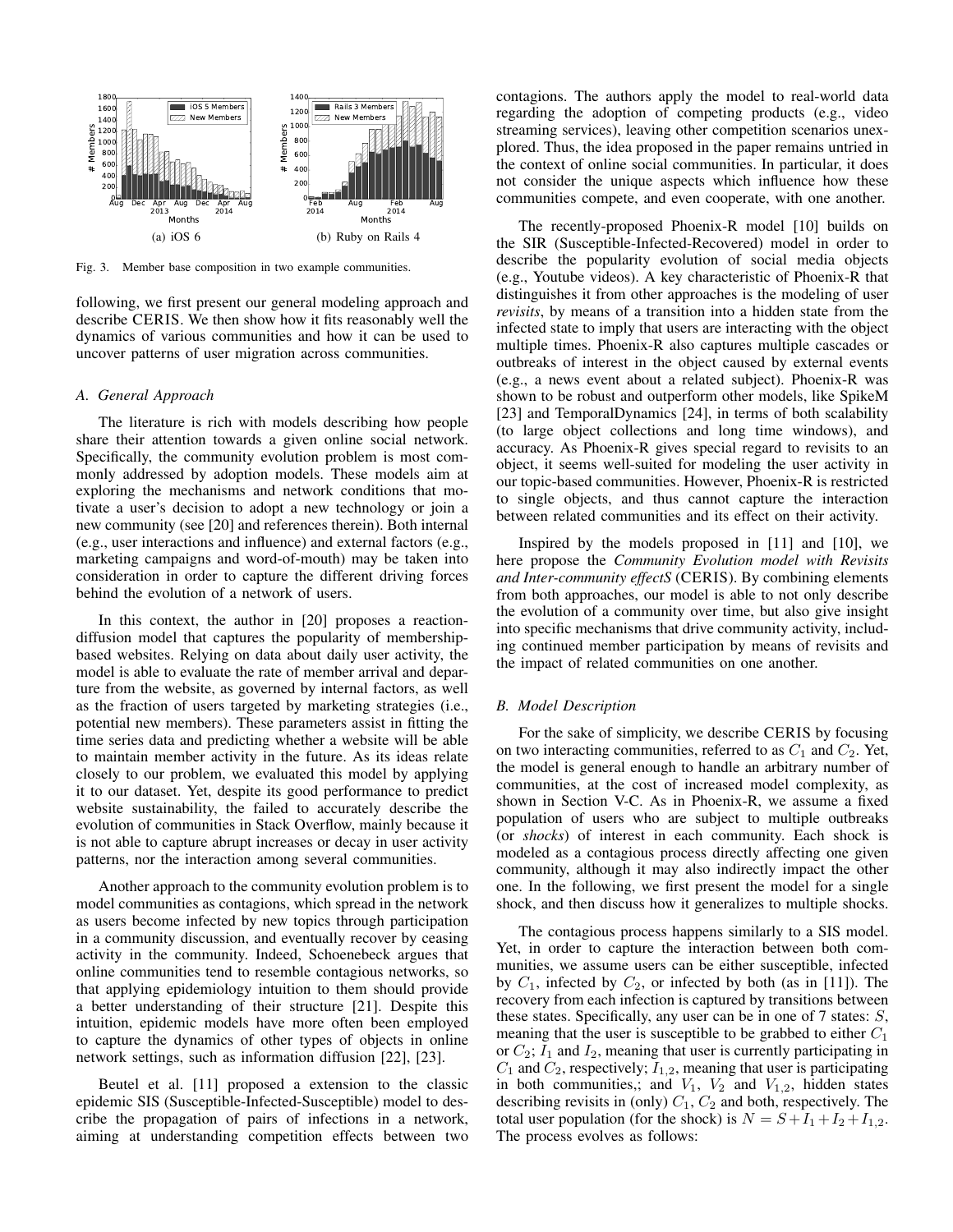

Fig. 3. Member base composition in two example communities.

following, we first present our general modeling approach and describe CERIS. We then show how it fits reasonably well the dynamics of various communities and how it can be used to uncover patterns of user migration across communities.

# *A. General Approach*

The literature is rich with models describing how people share their attention towards a given online social network. Specifically, the community evolution problem is most commonly addressed by adoption models. These models aim at exploring the mechanisms and network conditions that motivate a user's decision to adopt a new technology or join a new community (see [20] and references therein). Both internal (e.g., user interactions and influence) and external factors (e.g., marketing campaigns and word-of-mouth) may be taken into consideration in order to capture the different driving forces behind the evolution of a network of users.

In this context, the author in [20] proposes a reactiondiffusion model that captures the popularity of membershipbased websites. Relying on data about daily user activity, the model is able to evaluate the rate of member arrival and departure from the website, as governed by internal factors, as well as the fraction of users targeted by marketing strategies (i.e., potential new members). These parameters assist in fitting the time series data and predicting whether a website will be able to maintain member activity in the future. As its ideas relate closely to our problem, we evaluated this model by applying it to our dataset. Yet, despite its good performance to predict website sustainability, the failed to accurately describe the evolution of communities in Stack Overflow, mainly because it is not able to capture abrupt increases or decay in user activity patterns, nor the interaction among several communities.

Another approach to the community evolution problem is to model communities as contagions, which spread in the network as users become infected by new topics through participation in a community discussion, and eventually recover by ceasing activity in the community. Indeed, Schoenebeck argues that online communities tend to resemble contagious networks, so that applying epidemiology intuition to them should provide a better understanding of their structure [21]. Despite this intuition, epidemic models have more often been employed to capture the dynamics of other types of objects in online network settings, such as information diffusion [22], [23].

Beutel et al. [11] proposed a extension to the classic epidemic SIS (Susceptible-Infected-Susceptible) model to describe the propagation of pairs of infections in a network, aiming at understanding competition effects between two

contagions. The authors apply the model to real-world data regarding the adoption of competing products (e.g., video streaming services), leaving other competition scenarios unexplored. Thus, the idea proposed in the paper remains untried in the context of online social communities. In particular, it does not consider the unique aspects which influence how these communities compete, and even cooperate, with one another.

The recently-proposed Phoenix-R model [10] builds on the SIR (Susceptible-Infected-Recovered) model in order to describe the popularity evolution of social media objects (e.g., Youtube videos). A key characteristic of Phoenix-R that distinguishes it from other approaches is the modeling of user *revisits*, by means of a transition into a hidden state from the infected state to imply that users are interacting with the object multiple times. Phoenix-R also captures multiple cascades or outbreaks of interest in the object caused by external events (e.g., a news event about a related subject). Phoenix-R was shown to be robust and outperform other models, like SpikeM [23] and TemporalDynamics [24], in terms of both scalability (to large object collections and long time windows), and accuracy. As Phoenix-R gives special regard to revisits to an object, it seems well-suited for modeling the user activity in our topic-based communities. However, Phoenix-R is restricted to single objects, and thus cannot capture the interaction between related communities and its effect on their activity.

Inspired by the models proposed in [11] and [10], we here propose the *Community Evolution model with Revisits and Inter-community effectS* (CERIS). By combining elements from both approaches, our model is able to not only describe the evolution of a community over time, but also give insight into specific mechanisms that drive community activity, including continued member participation by means of revisits and the impact of related communities on one another.

## *B. Model Description*

For the sake of simplicity, we describe CERIS by focusing on two interacting communities, referred to as  $C_1$  and  $C_2$ . Yet, the model is general enough to handle an arbitrary number of communities, at the cost of increased model complexity, as shown in Section V-C. As in Phoenix-R, we assume a fixed population of users who are subject to multiple outbreaks (or *shocks*) of interest in each community. Each shock is modeled as a contagious process directly affecting one given community, although it may also indirectly impact the other one. In the following, we first present the model for a single shock, and then discuss how it generalizes to multiple shocks.

The contagious process happens similarly to a SIS model. Yet, in order to capture the interaction between both communities, we assume users can be either susceptible, infected by  $C_1$ , infected by  $C_2$ , or infected by both (as in [11]). The recovery from each infection is captured by transitions between these states. Specifically, any user can be in one of  $7$  states:  $S$ , meaning that the user is susceptible to be grabbed to either  $C_1$ or  $C_2$ ;  $I_1$  and  $I_2$ , meaning that user is currently participating in  $C_1$  and  $C_2$ , respectively;  $I_{1,2}$ , meaning that user is participating in both communities,; and  $V_1$ ,  $V_2$  and  $V_{1,2}$ , hidden states describing revisits in (only)  $C_1$ ,  $C_2$  and both, respectively. The total user population (for the shock) is  $N = S + I_1 + I_2 + I_{1,2}$ . The process evolves as follows: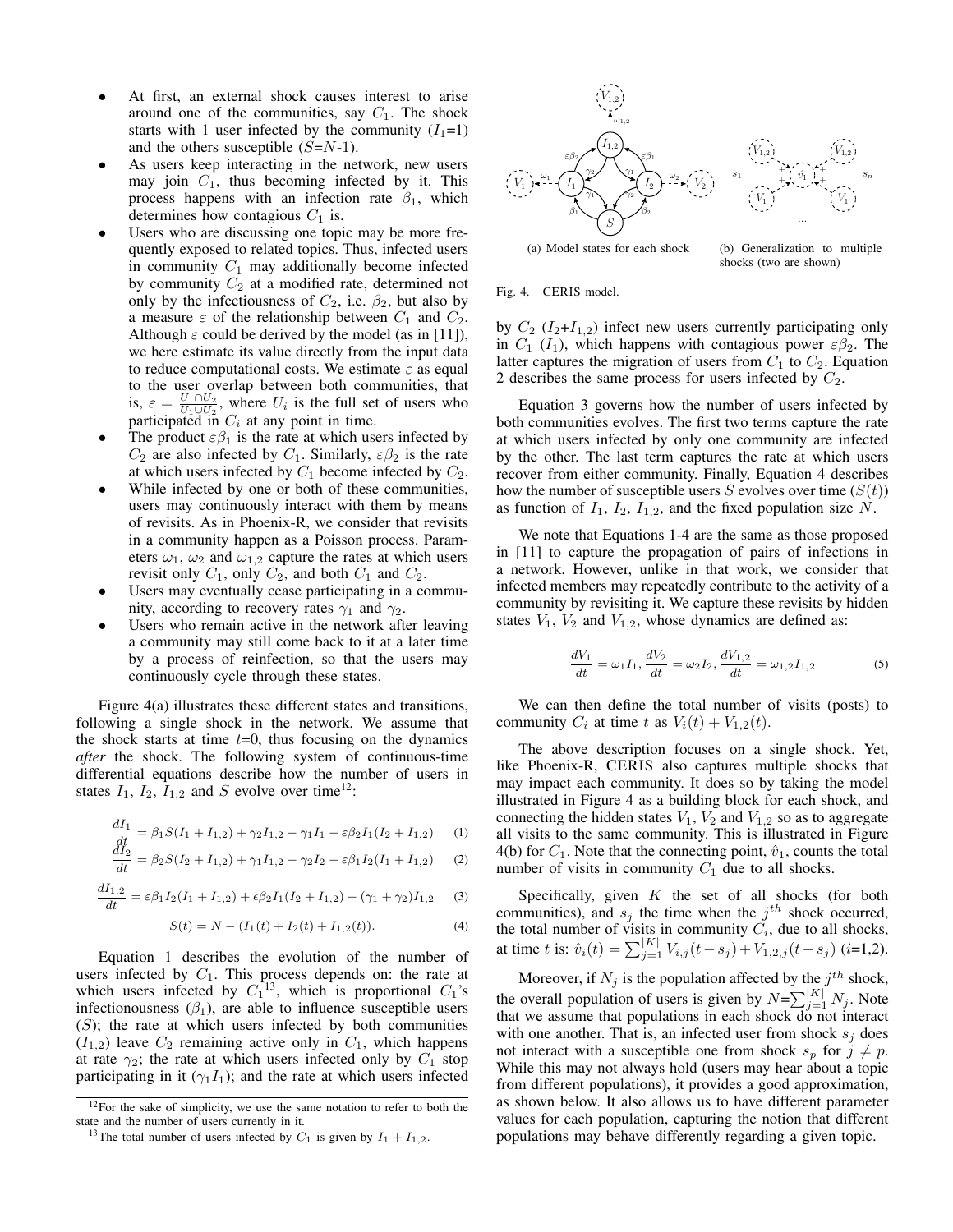- At first, an external shock causes interest to arise around one of the communities, say  $C_1$ . The shock starts with 1 user infected by the community  $(I_1=1)$ and the others susceptible  $(S=N-1)$ .
- As users keep interacting in the network, new users may join  $C_1$ , thus becoming infected by it. This process happens with an infection rate  $\beta_1$ , which determines how contagious  $C_1$  is.
- Users who are discussing one topic may be more frequently exposed to related topics. Thus, infected users in community  $C_1$  may additionally become infected by community  $C_2$  at a modified rate, determined not only by the infectiousness of  $C_2$ , i.e.  $\beta_2$ , but also by a measure  $\varepsilon$  of the relationship between  $C_1$  and  $C_2$ . Although  $\varepsilon$  could be derived by the model (as in [11]), we here estimate its value directly from the input data to reduce computational costs. We estimate  $\varepsilon$  as equal to the user overlap between both communities, that is,  $\varepsilon = \frac{U_1 \cap U_2}{U_1 \cup U_2}$ , where  $U_i$  is the full set of users who participated in  $C_i$  at any point in time.
- The product  $\varepsilon\beta_1$  is the rate at which users infected by  $C_2$  are also infected by  $C_1$ . Similarly,  $\varepsilon \beta_2$  is the rate at which users infected by  $C_1$  become infected by  $C_2$ .
- While infected by one or both of these communities, users may continuously interact with them by means of revisits. As in Phoenix-R, we consider that revisits in a community happen as a Poisson process. Parameters  $\omega_1$ ,  $\omega_2$  and  $\omega_{1,2}$  capture the rates at which users revisit only  $C_1$ , only  $C_2$ , and both  $C_1$  and  $C_2$ .
- Users may eventually cease participating in a community, according to recovery rates  $\gamma_1$  and  $\gamma_2$ .
- Users who remain active in the network after leaving a community may still come back to it at a later time by a process of reinfection, so that the users may continuously cycle through these states.

Figure 4(a) illustrates these different states and transitions, following a single shock in the network. We assume that the shock starts at time  $t=0$ , thus focusing on the dynamics *after* the shock. The following system of continuous-time differential equations describe how the number of users in states  $I_1$ ,  $I_2$ ,  $I_{1,2}$  and S evolve over time<sup>12</sup>:

$$
\frac{dI_1}{dt} = \beta_1 S(I_1 + I_{1,2}) + \gamma_2 I_{1,2} - \gamma_1 I_1 - \varepsilon \beta_2 I_1(I_2 + I_{1,2}) \tag{1}
$$

$$
\frac{dI_2}{dt} = \beta_2 S(I_2 + I_{1,2}) + \gamma_1 I_{1,2} - \gamma_2 I_2 - \varepsilon \beta_1 I_2(I_1 + I_{1,2}) \tag{2}
$$

$$
\frac{dI_{1,2}}{dt} = \varepsilon \beta_1 I_2 (I_1 + I_{1,2}) + \varepsilon \beta_2 I_1 (I_2 + I_{1,2}) - (\gamma_1 + \gamma_2) I_{1,2} \tag{3}
$$

$$
S(t) = N - (I_1(t) + I_2(t) + I_{1,2}(t)).
$$
\n(4)

Equation 1 describes the evolution of the number of users infected by  $C_1$ . This process depends on: the rate at which users infected by  $C_1^{13}$ , which is proportional  $C_1$ 's infectionousness  $(\beta_1)$ , are able to influence susceptible users  $(S)$ ; the rate at which users infected by both communities  $(I_{1,2})$  leave  $C_2$  remaining active only in  $C_1$ , which happens at rate  $\gamma_2$ ; the rate at which users infected only by  $C_1$  stop participating in it ( $\gamma_1 I_1$ ); and the rate at which users infected



shocks (two are shown)

#### Fig. 4. CERIS model.

by  $C_2$  ( $I_2+I_{1,2}$ ) infect new users currently participating only in  $C_1$  ( $I_1$ ), which happens with contagious power  $\varepsilon \beta_2$ . The latter captures the migration of users from  $C_1$  to  $C_2$ . Equation 2 describes the same process for users infected by  $C_2$ .

Equation 3 governs how the number of users infected by both communities evolves. The first two terms capture the rate at which users infected by only one community are infected by the other. The last term captures the rate at which users recover from either community. Finally, Equation 4 describes how the number of susceptible users S evolves over time  $(S(t))$ as function of  $I_1$ ,  $I_2$ ,  $I_{1,2}$ , and the fixed population size N.

We note that Equations 1-4 are the same as those proposed in [11] to capture the propagation of pairs of infections in a network. However, unlike in that work, we consider that infected members may repeatedly contribute to the activity of a community by revisiting it. We capture these revisits by hidden states  $V_1$ ,  $V_2$  and  $V_{1,2}$ , whose dynamics are defined as:

$$
\frac{dV_1}{dt} = \omega_1 I_1, \frac{dV_2}{dt} = \omega_2 I_2, \frac{dV_{1,2}}{dt} = \omega_{1,2} I_{1,2}
$$
\n(5)

We can then define the total number of visits (posts) to community  $C_i$  at time t as  $V_i(t) + V_{1,2}(t)$ .

The above description focuses on a single shock. Yet, like Phoenix-R, CERIS also captures multiple shocks that may impact each community. It does so by taking the model illustrated in Figure 4 as a building block for each shock, and connecting the hidden states  $V_1$ ,  $V_2$  and  $V_{1,2}$  so as to aggregate all visits to the same community. This is illustrated in Figure 4(b) for  $C_1$ . Note that the connecting point,  $\hat{v}_1$ , counts the total number of visits in community  $C_1$  due to all shocks.

Specifically, given  $K$  the set of all shocks (for both communities), and  $s_j$  the time when the  $j^{th}$  shock occurred, the total number of visits in community  $C_i$ , due to all shocks, at time t is:  $\hat{v}_i(t) = \sum_{j=1}^{|K|} V_{i,j}(t-s_j) + V_{1,2,j}(t-s_j)$  (i=1,2).

Moreover, if  $N_j$  is the population affected by the  $j^{th}$  shock, the overall population of users is given by  $N=\sum_{j=1}^{|K|} N_j$ . Note that we assume that populations in each shock do not interact with one another. That is, an infected user from shock  $s_i$  does not interact with a susceptible one from shock  $s_p$  for  $j \neq p$ . While this may not always hold (users may hear about a topic from different populations), it provides a good approximation, as shown below. It also allows us to have different parameter values for each population, capturing the notion that different populations may behave differently regarding a given topic.

 $12$ For the sake of simplicity, we use the same notation to refer to both the state and the number of users currently in it.

<sup>&</sup>lt;sup>13</sup>The total number of users infected by  $C_1$  is given by  $I_1 + I_{1,2}$ .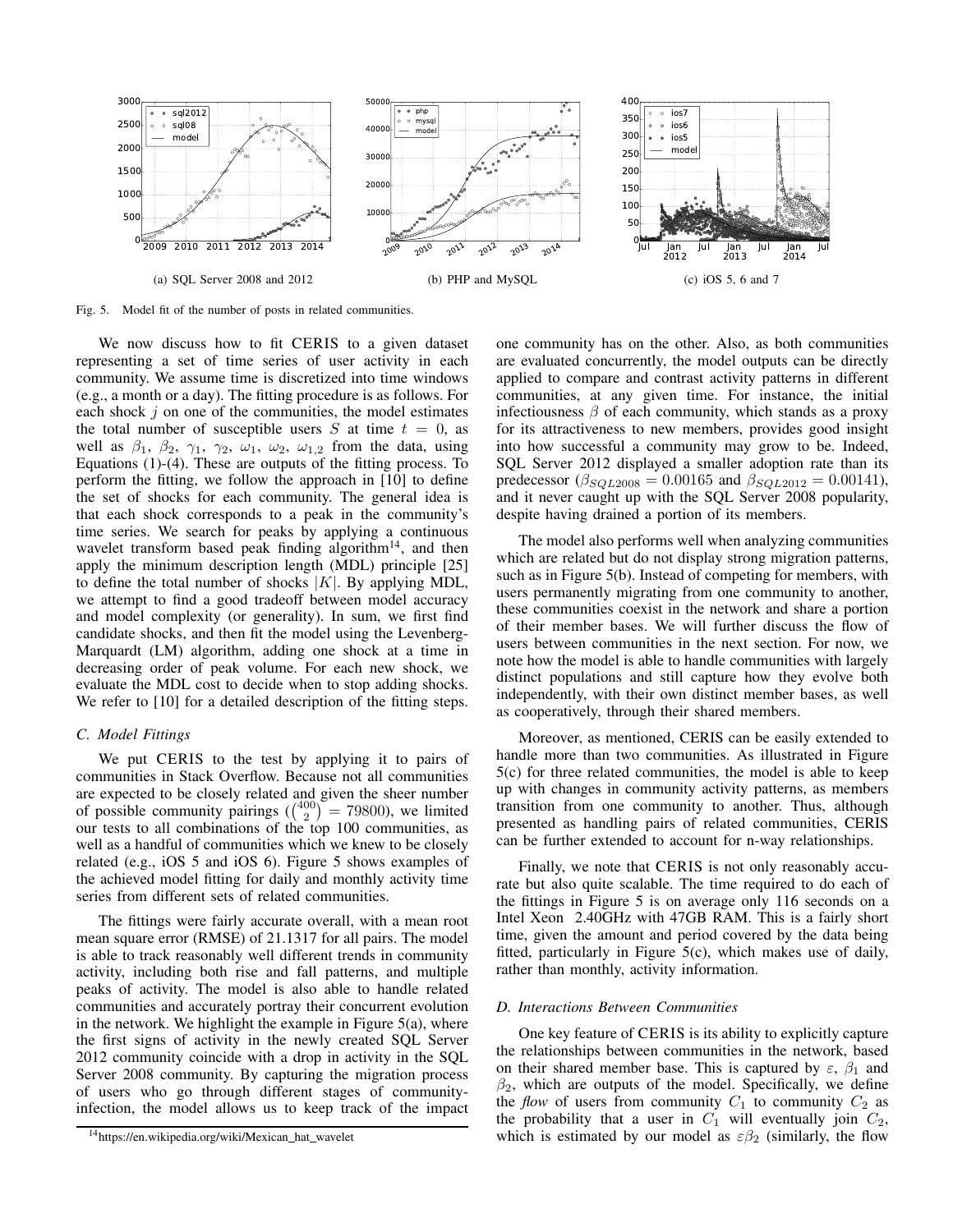

Fig. 5. Model fit of the number of posts in related communities.

We now discuss how to fit CERIS to a given dataset representing a set of time series of user activity in each community. We assume time is discretized into time windows (e.g., a month or a day). The fitting procedure is as follows. For each shock  $j$  on one of the communities, the model estimates the total number of susceptible users  $S$  at time  $t = 0$ , as well as  $\beta_1$ ,  $\beta_2$ ,  $\gamma_1$ ,  $\gamma_2$ ,  $\omega_1$ ,  $\omega_2$ ,  $\omega_{1,2}$  from the data, using Equations (1)-(4). These are outputs of the fitting process. To perform the fitting, we follow the approach in [10] to define the set of shocks for each community. The general idea is that each shock corresponds to a peak in the community's time series. We search for peaks by applying a continuous wavelet transform based peak finding algorithm<sup>14</sup>, and then apply the minimum description length (MDL) principle [25] to define the total number of shocks  $|K|$ . By applying MDL, we attempt to find a good tradeoff between model accuracy and model complexity (or generality). In sum, we first find candidate shocks, and then fit the model using the Levenberg-Marquardt (LM) algorithm, adding one shock at a time in decreasing order of peak volume. For each new shock, we evaluate the MDL cost to decide when to stop adding shocks. We refer to [10] for a detailed description of the fitting steps.

## *C. Model Fittings*

We put CERIS to the test by applying it to pairs of communities in Stack Overflow. Because not all communities are expected to be closely related and given the sheer number of possible community pairings  $\binom{(400)}{2} = 79800$ , we limited our tests to all combinations of the top 100 communities, as well as a handful of communities which we knew to be closely related (e.g., iOS 5 and iOS 6). Figure 5 shows examples of the achieved model fitting for daily and monthly activity time series from different sets of related communities.

The fittings were fairly accurate overall, with a mean root mean square error (RMSE) of 21.1317 for all pairs. The model is able to track reasonably well different trends in community activity, including both rise and fall patterns, and multiple peaks of activity. The model is also able to handle related communities and accurately portray their concurrent evolution in the network. We highlight the example in Figure  $5(a)$ , where the first signs of activity in the newly created SQL Server 2012 community coincide with a drop in activity in the SQL Server 2008 community. By capturing the migration process of users who go through different stages of communityinfection, the model allows us to keep track of the impact

one community has on the other. Also, as both communities are evaluated concurrently, the model outputs can be directly applied to compare and contrast activity patterns in different communities, at any given time. For instance, the initial infectiousness  $\beta$  of each community, which stands as a proxy for its attractiveness to new members, provides good insight into how successful a community may grow to be. Indeed, SQL Server 2012 displayed a smaller adoption rate than its predecessor ( $\beta_{SQL2008} = 0.00165$  and  $\beta_{SQL2012} = 0.00141$ ), and it never caught up with the SQL Server 2008 popularity, despite having drained a portion of its members.

The model also performs well when analyzing communities which are related but do not display strong migration patterns, such as in Figure 5(b). Instead of competing for members, with users permanently migrating from one community to another, these communities coexist in the network and share a portion of their member bases. We will further discuss the flow of users between communities in the next section. For now, we note how the model is able to handle communities with largely distinct populations and still capture how they evolve both independently, with their own distinct member bases, as well as cooperatively, through their shared members.

Moreover, as mentioned, CERIS can be easily extended to handle more than two communities. As illustrated in Figure 5(c) for three related communities, the model is able to keep up with changes in community activity patterns, as members transition from one community to another. Thus, although presented as handling pairs of related communities, CERIS can be further extended to account for n-way relationships.

Finally, we note that CERIS is not only reasonably accurate but also quite scalable. The time required to do each of the fittings in Figure 5 is on average only 116 seconds on a Intel Xeon 2.40GHz with 47GB RAM. This is a fairly short time, given the amount and period covered by the data being fitted, particularly in Figure 5(c), which makes use of daily, rather than monthly, activity information.

#### *D. Interactions Between Communities*

One key feature of CERIS is its ability to explicitly capture the relationships between communities in the network, based on their shared member base. This is captured by  $\varepsilon$ ,  $\beta_1$  and  $\beta_2$ , which are outputs of the model. Specifically, we define the *flow* of users from community  $C_1$  to community  $C_2$  as the probability that a user in  $C_1$  will eventually join  $C_2$ , which is estimated by our model as  $\varepsilon\beta_2$  (similarly, the flow

<sup>&</sup>lt;sup>14</sup>https://en.wikipedia.org/wiki/Mexican\_hat\_wavelet